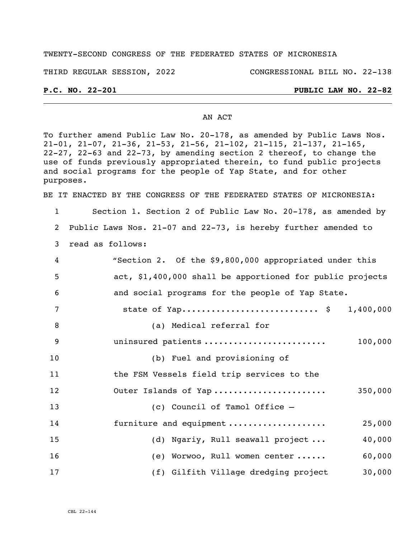#### TWENTY-SECOND CONGRESS OF THE FEDERATED STATES OF MICRONESIA

THIRD REGULAR SESSION, 2022 CONGRESSIONAL BILL NO. 22-138

### **P.C. NO. 22-201 PUBLIC LAW NO. 22-82**

### AN ACT

To further amend Public Law No. 20-178, as amended by Public Laws Nos. 21-01, 21-07, 21-36, 21-53, 21-56, 21-102, 21-115, 21-137, 21-165, 22-27, 22-63 and 22-73, by amending section 2 thereof, to change the use of funds previously appropriated therein, to fund public projects and social programs for the people of Yap State, and for other purposes.

BE IT ENACTED BY THE CONGRESS OF THE FEDERATED STATES OF MICRONESIA:

1 Section 1. Section 2 of Public Law No. 20-178, as amended by 2 Public Laws Nos. 21-07 and 22-73, is hereby further amended to

3 read as follows:

| 4  | "Section 2. Of the \$9,800,000 appropriated under this    |
|----|-----------------------------------------------------------|
| 5  | act, \$1,400,000 shall be apportioned for public projects |
| 6  | and social programs for the people of Yap State.          |
| 7  | state of Yap \$ 1,400,000                                 |
| 8  | (a) Medical referral for                                  |
| 9  | uninsured patients<br>100,000                             |
| 10 | (b) Fuel and provisioning of                              |
| 11 | the FSM Vessels field trip services to the                |
| 12 | Outer Islands of Yap<br>350,000                           |
| 13 | (c) Council of Tamol Office -                             |
| 14 | furniture and equipment<br>25,000                         |
| 15 | 40,000<br>(d) Ngariy, Rull seawall project                |
| 16 | 60,000<br>(e) Worwoo, Rull women center                   |
| 17 | 30,000<br>(f) Gilfith Village dredging project            |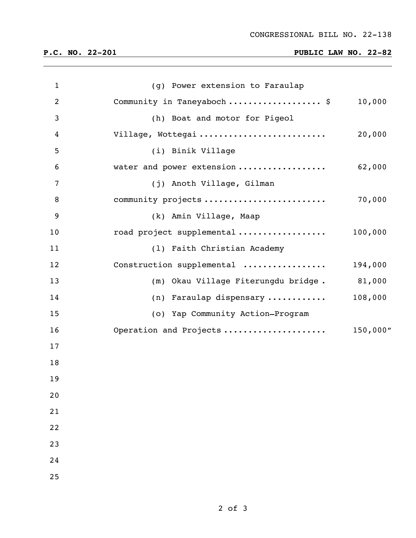# **P.C. NO. 22-201 PUBLIC LAW NO. 22-82**

| $\mathbf{1}$   | (g) Power extension to Faraulap        |          |
|----------------|----------------------------------------|----------|
| $\overline{2}$ | Community in Taneyaboch  \$            | 10,000   |
| 3              | (h) Boat and motor for Pigeol          |          |
| 4              | Village, Wottegai                      | 20,000   |
| 5              | (i) Binik Village                      |          |
| 6              | water and power extension              | 62,000   |
| 7              | (j) Anoth Village, Gilman              |          |
| 8              | community projects                     | 70,000   |
| 9              | (k) Amin Village, Maap                 |          |
| 10             | road project supplemental              | 100,000  |
| 11             | (1) Faith Christian Academy            |          |
| 12             | Construction supplemental              | 194,000  |
| 13             | Okau Village Fiterungdu bridge.<br>(m) | 81,000   |
| 14             | (n) Faraulap dispensary                | 108,000  |
| 15             | (o) Yap Community Action-Program       |          |
| 16             | Operation and Projects                 | 150,000" |
| 17             |                                        |          |
| 18             |                                        |          |
| 19             |                                        |          |
| 20             |                                        |          |
| 21             |                                        |          |
| 22             |                                        |          |
| 23             |                                        |          |
| 24             |                                        |          |
| 25             |                                        |          |